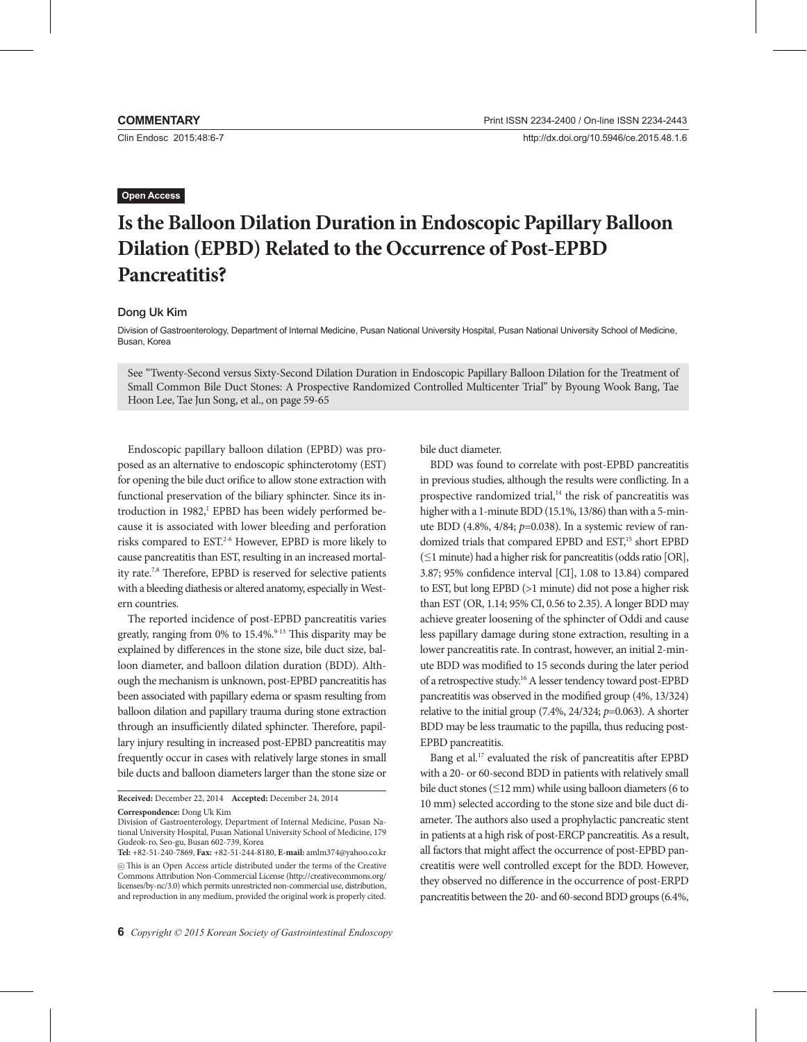Clin Endosc 2015;48:6-7

# **Open Access**

# **Is the Balloon Dilation Duration in Endoscopic Papillary Balloon Dilation (EPBD) Related to the Occurrence of Post-EPBD Pancreatitis?**

## Dong Uk Kim

Division of Gastroenterology, Department of Internal Medicine, Pusan National University Hospital, Pusan National University School of Medicine, Busan, Korea

See "Twenty-Second versus Sixty-Second Dilation Duration in Endoscopic Papillary Balloon Dilation for the Treatment of Small Common Bile Duct Stones: A Prospective Randomized Controlled Multicenter Trial" by Byoung Wook Bang, Tae Hoon Lee, Tae Jun Song, et al., on page 59-65

Endoscopic papillary balloon dilation (EPBD) was proposed as an alternative to endoscopic sphincterotomy (EST) for opening the bile duct orifice to allow stone extraction with functional preservation of the biliary sphincter. Since its introduction in 1982,<sup>1</sup> EPBD has been widely performed because it is associated with lower bleeding and perforation risks compared to EST.2-6 However, EPBD is more likely to cause pancreatitis than EST, resulting in an increased mortality rate.7,8 Therefore, EPBD is reserved for selective patients with a bleeding diathesis or altered anatomy, especially in Western countries.

The reported incidence of post-EPBD pancreatitis varies greatly, ranging from  $0\%$  to  $15.4\%$ .<sup>9-13</sup> This disparity may be explained by differences in the stone size, bile duct size, balloon diameter, and balloon dilation duration (BDD). Although the mechanism is unknown, post-EPBD pancreatitis has been associated with papillary edema or spasm resulting from balloon dilation and papillary trauma during stone extraction through an insufficiently dilated sphincter. Therefore, papillary injury resulting in increased post-EPBD pancreatitis may frequently occur in cases with relatively large stones in small bile ducts and balloon diameters larger than the stone size or

**Received:** December 22, 2014 **Accepted:** December 24, 2014

**Correspondence:** Dong Uk Kim

bile duct diameter.

BDD was found to correlate with post-EPBD pancreatitis in previous studies, although the results were conflicting. In a prospective randomized trial,<sup>14</sup> the risk of pancreatitis was higher with a 1-minute BDD (15.1%, 13/86) than with a 5-minute BDD (4.8%, 4/84; *p*=0.038). In a systemic review of randomized trials that compared EPBD and EST,<sup>15</sup> short EPBD (≤1 minute) had a higher risk for pancreatitis (odds ratio [OR], 3.87; 95% confidence interval [CI], 1.08 to 13.84) compared to EST, but long EPBD (>1 minute) did not pose a higher risk than EST (OR, 1.14; 95% CI, 0.56 to 2.35). A longer BDD may achieve greater loosening of the sphincter of Oddi and cause less papillary damage during stone extraction, resulting in a lower pancreatitis rate. In contrast, however, an initial 2-minute BDD was modified to 15 seconds during the later period of a retrospective study.16 A lesser tendency toward post-EPBD pancreatitis was observed in the modified group (4%, 13/324) relative to the initial group (7.4%, 24/324; *p*=0.063). A shorter BDD may be less traumatic to the papilla, thus reducing post-EPBD pancreatitis.

Bang et al.17 evaluated the risk of pancreatitis after EPBD with a 20- or 60-second BDD in patients with relatively small bile duct stones ( $\leq$ 12 mm) while using balloon diameters (6 to 10 mm) selected according to the stone size and bile duct diameter. The authors also used a prophylactic pancreatic stent in patients at a high risk of post-ERCP pancreatitis. As a result, all factors that might affect the occurrence of post-EPBD pancreatitis were well controlled except for the BDD. However, they observed no difference in the occurrence of post-ERPD pancreatitis between the 20- and 60-second BDD groups (6.4%,

Division of Gastroenterology, Department of Internal Medicine, Pusan National University Hospital, Pusan National University School of Medicine, 179 Gudeok-ro, Seo-gu, Busan 602-739, Korea

**Tel:** +82-51-240-7869, **Fax:** +82-51-244-8180, **E-mail:** amlm374@yahoo.co.kr cc This is an Open Access article distributed under the terms of the Creative Commons Attribution Non-Commercial License (http://creativecommons.org/ licenses/by-nc/3.0) which permits unrestricted non-commercial use, distribution, and reproduction in any medium, provided the original work is properly cited.